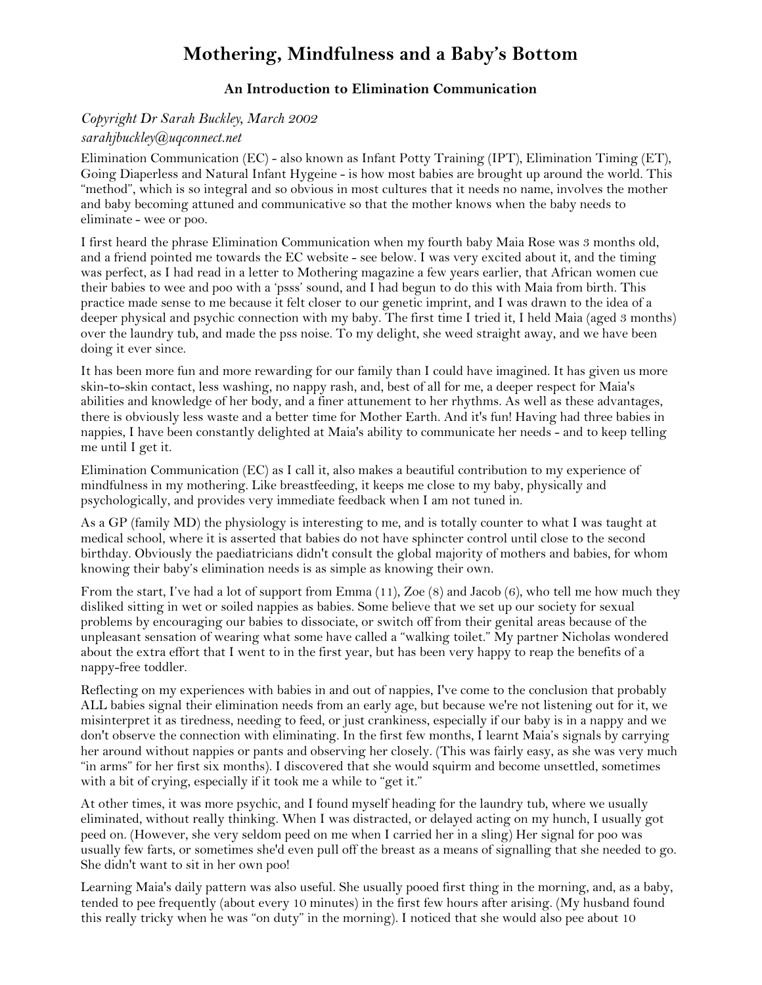# Mothering, Mindfulness and a Baby's Bottom

## An Introduction to Elimination Communication

# Copyright Dr Sarah Buckley, March 2002 sarahjbuckley@uqconnect.net

Elimination Communication (EC) - also known as Infant Potty Training (IPT), Elimination Timing (ET), Going Diaperless and Natural Infant Hygeine - is how most babies are brought up around the world. This "method", which is so integral and so obvious in most cultures that it needs no name, involves the mother and baby becoming attuned and communicative so that the mother knows when the baby needs to eliminate - wee or poo.

I first heard the phrase Elimination Communication when my fourth baby Maia Rose was 3 months old, and a friend pointed me towards the EC website - see below. I was very excited about it, and the timing was perfect, as I had read in a letter to Mothering magazine a few years earlier, that African women cue their babies to wee and poo with a 'psss' sound, and I had begun to do this with Maia from birth. This practice made sense to me because it felt closer to our genetic imprint, and I was drawn to the idea of a deeper physical and psychic connection with my baby. The first time I tried it, I held Maia (aged 3 months) over the laundry tub, and made the pss noise. To my delight, she weed straight away, and we have been doing it ever since.

It has been more fun and more rewarding for our family than I could have imagined. It has given us more skin-to-skin contact, less washing, no nappy rash, and, best of all for me, a deeper respect for Maia's abilities and knowledge of her body, and a finer attunement to her rhythms. As well as these advantages, there is obviously less waste and a better time for Mother Earth. And it's fun! Having had three babies in nappies, I have been constantly delighted at Maia's ability to communicate her needs - and to keep telling me until I get it.

Elimination Communication  $(EC)$  as I call it, also makes a beautiful contribution to my experience of mindfulness in my mothering. Like breastfeeding, it keeps me close to my baby, physically and psychologically, and provides very immediate feedback when I am not tuned in.

As a GP (family MD) the physiology is interesting to me, and is totally counter to what I was taught at medical school, where it is asserted that babies do not have sphincter control until close to the second birthday. Obviously the paediatricians didn't consult the global majority of mothers and babies, for whom knowing their baby's elimination needs is as simple as knowing their own.

From the start, I've had a lot of support from Emma  $(11)$ , Zoe  $(8)$  and Jacob  $(6)$ , who tell me how much they disliked sitting in wet or soiled nappies as babies. Some believe that we set up our society for sexual problems by encouraging our babies to dissociate, or switch off from their genital areas because of the unpleasant sensation of wearing what some have called a "walking toilet." My partner Nicholas wondered about the extra effort that I went to in the first year, but has been very happy to reap the benefits of a nappy-free toddler.

Reflecting on my experiences with babies in and out of nappies, I've come to the conclusion that probably ALL babies signal their elimination needs from an early age, but because we're not listening out for it, we misinterpret it as tiredness, needing to feed, or just crankiness, especially if our baby is in a nappy and we don't observe the connection with eliminating. In the first few months, I learnt Maia's signals by carrying her around without nappies or pants and observing her closely. (This was fairly easy, as she was very much "in arms" for her first six months). I discovered that she would squirm and become unsettled, sometimes with a bit of crying, especially if it took me a while to "get it."

At other times, it was more psychic, and I found myself heading for the laundry tub, where we usually eliminated, without really thinking. When I was distracted, or delayed acting on my hunch, I usually got peed on. (However, she very seldom peed on me when I carried her in a sling) Her signal for poo was usually few farts, or sometimes she'd even pull off the breast as a means of signalling that she needed to go. She didn't want to sit in her own poo!

Learning Maia's daily pattern was also useful. She usually pooed first thing in the morning, and, as a baby, tended to pee frequently (about every 10 minutes) in the first few hours after arising. (My husband found this really tricky when he was "on duty" in the morning). I noticed that she would also pee about 10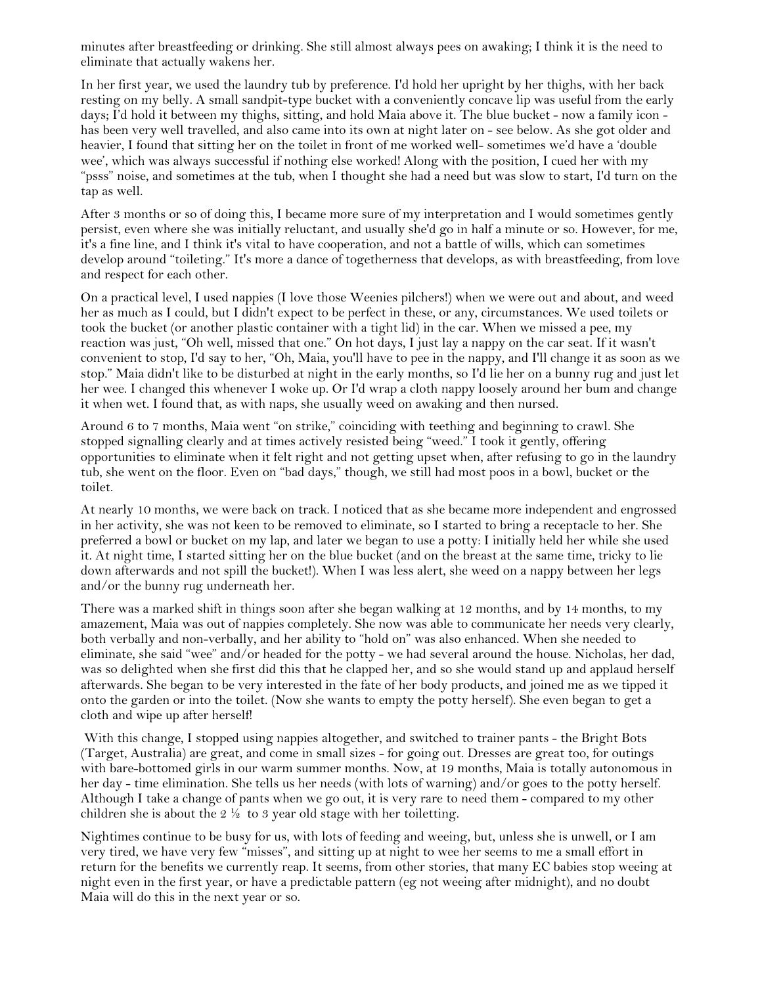minutes after breastfeeding or drinking. She still almost always pees on awaking; I think it is the need to eliminate that actually wakens her.

In her first year, we used the laundry tub by preference. I'd hold her upright by her thighs, with her back resting on my belly. A small sandpit-type bucket with a conveniently concave lip was useful from the early days; I'd hold it between my thighs, sitting, and hold Maia above it. The blue bucket - now a family icon has been very well travelled, and also came into its own at night later on - see below. As she got older and heavier, I found that sitting her on the toilet in front of me worked well- sometimes we'd have a 'double wee', which was always successful if nothing else worked! Along with the position, I cued her with my "psss" noise, and sometimes at the tub, when I thought she had a need but was slow to start, I'd turn on the tap as well.

After 3 months or so of doing this, I became more sure of my interpretation and I would sometimes gently persist, even where she was initially reluctant, and usually she'd go in half a minute or so. However, for me, it's a fine line, and I think it's vital to have cooperation, and not a battle of wills, which can sometimes develop around "toileting." It's more a dance of togetherness that develops, as with breastfeeding, from love and respect for each other.

On a practical level, I used nappies (I love those Weenies pilchers!) when we were out and about, and weed her as much as I could, but I didn't expect to be perfect in these, or any, circumstances. We used toilets or took the bucket (or another plastic container with a tight lid) in the car. When we missed a pee, my reaction was just, "Oh well, missed that one." On hot days, I just lay a nappy on the car seat. If it wasn't convenient to stop, I'd say to her, "Oh, Maia, you'll have to pee in the nappy, and I'll change it as soon as we stop." Maia didn't like to be disturbed at night in the early months, so I'd lie her on a bunny rug and just let her wee. I changed this whenever I woke up. Or I'd wrap a cloth nappy loosely around her bum and change it when wet. I found that, as with naps, she usually weed on awaking and then nursed.

Around 6 to 7 months, Maia went "on strike," coinciding with teething and beginning to crawl. She stopped signalling clearly and at times actively resisted being "weed." I took it gently, offering opportunities to eliminate when it felt right and not getting upset when, after refusing to go in the laundry tub, she went on the floor. Even on "bad days," though, we still had most poos in a bowl, bucket or the toilet.

At nearly 10 months, we were back on track. I noticed that as she became more independent and engrossed in her activity, she was not keen to be removed to eliminate, so I started to bring a receptacle to her. She preferred a bowl or bucket on my lap, and later we began to use a potty: I initially held her while she used it. At night time, I started sitting her on the blue bucket (and on the breast at the same time, tricky to lie down afterwards and not spill the bucket!). When I was less alert, she weed on a nappy between her legs and/or the bunny rug underneath her.

There was a marked shift in things soon after she began walking at 12 months, and by 14 months, to my amazement, Maia was out of nappies completely. She now was able to communicate her needs very clearly, both verbally and non-verbally, and her ability to "hold on" was also enhanced. When she needed to eliminate, she said "wee" and/or headed for the potty - we had several around the house. Nicholas, her dad, was so delighted when she first did this that he clapped her, and so she would stand up and applaud herself afterwards. She began to be very interested in the fate of her body products, and joined me as we tipped it onto the garden or into the toilet. (Now she wants to empty the potty herself). She even began to get a cloth and wipe up after herself!

With this change, I stopped using nappies altogether, and switched to trainer pants - the Bright Bots (Target, Australia) are great, and come in small sizes - for going out. Dresses are great too, for outings with bare-bottomed girls in our warm summer months. Now, at 19 months, Maia is totally autonomous in her day - time elimination. She tells us her needs (with lots of warning) and/or goes to the potty herself. Although I take a change of pants when we go out, it is very rare to need them - compared to my other children she is about the  $2\frac{1}{2}$  to 3 year old stage with her toiletting.

Nightimes continue to be busy for us, with lots of feeding and weeing, but, unless she is unwell, or I am very tired, we have very few "misses", and sitting up at night to wee her seems to me a small effort in return for the benefits we currently reap. It seems, from other stories, that many EC babies stop weeing at night even in the first year, or have a predictable pattern (eg not weeing after midnight), and no doubt Maia will do this in the next year or so.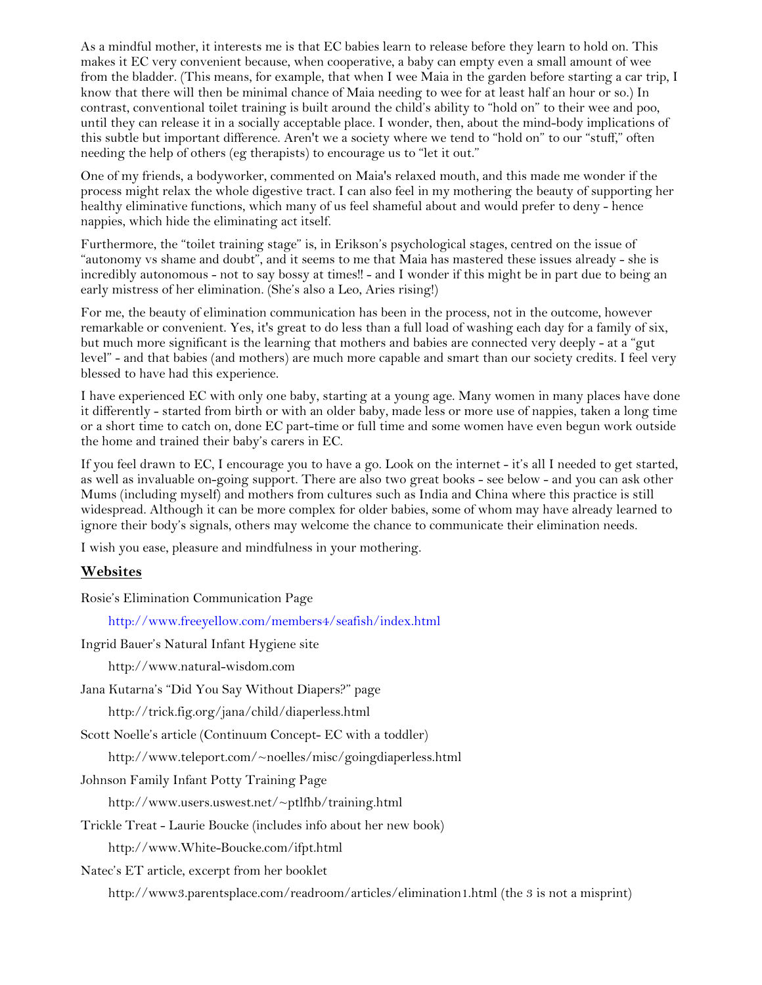As a mindful mother, it interests me is that EC babies learn to release before they learn to hold on. This makes it EC very convenient because, when cooperative, a baby can empty even a small amount of wee from the bladder. (This means, for example, that when I wee Maia in the garden before starting a car trip, I know that there will then be minimal chance of Maia needing to wee for at least half an hour or so.) In contrast, conventional toilet training is built around the child's ability to "hold on" to their wee and poo, until they can release it in a socially acceptable place. I wonder, then, about the mind-body implications of this subtle but important difference. Aren't we a society where we tend to "hold on" to our "stuff," often needing the help of others (eg therapists) to encourage us to "let it out."

One of my friends, a bodyworker, commented on Maia's relaxed mouth, and this made me wonder if the process might relax the whole digestive tract. I can also feel in my mothering the beauty of supporting her healthy eliminative functions, which many of us feel shameful about and would prefer to deny - hence nappies, which hide the eliminating act itself.

Furthermore, the "toilet training stage" is, in Erikson's psychological stages, centred on the issue of "autonomy vs shame and doubt", and it seems to me that Maia has mastered these issues already - she is incredibly autonomous - not to say bossy at times!! - and I wonder if this might be in part due to being an early mistress of her elimination. (She's also a Leo, Aries rising!)

For me, the beauty of elimination communication has been in the process, not in the outcome, however remarkable or convenient. Yes, it's great to do less than a full load of washing each day for a family of six, but much more significant is the learning that mothers and babies are connected very deeply - at a "gut level" - and that babies (and mothers) are much more capable and smart than our society credits. I feel very blessed to have had this experience.

I have experienced EC with only one baby, starting at a young age. Many women in many places have done it differently - started from birth or with an older baby, made less or more use of nappies, taken a long time or a short time to catch on, done EC part-time or full time and some women have even begun work outside the home and trained their baby's carers in EC.

If you feel drawn to EC, I encourage you to have a go. Look on the internet - it's all I needed to get started, as well as invaluable on-going support. There are also two great books - see below - and you can ask other Mums (including myself) and mothers from cultures such as India and China where this practice is still widespread. Although it can be more complex for older babies, some of whom may have already learned to ignore their body's signals, others may welcome the chance to communicate their elimination needs.

I wish you ease, pleasure and mindfulness in your mothering.

#### <u>Websites</u>

Rosie's Elimination Communication Page

http://www.freeyellow.com/members4/seafish/index.html

Ingrid Bauer's Natural Infant Hygiene site

http://www.natural-wisdom.com

Jana Kutarna's "Did You Say Without Diapers?" page

http://trick.fig.org/jana/child/diaperless.html

Scott Noelle's article (Continuum Concept-EC with a toddler)

http://www.teleport.com/~noelles/misc/goingdiaperless.html

Johnson Family Infant Potty Training Page

http://www.users.uswest.net/~ptlfhb/training.html

Trickle Treat - Laurie Boucke (includes info about her new book)

http://www.White-Boucke.com/ifpt.html

Natec's ET article, excerpt from her booklet

http://www3.parentsplace.com/readroom/articles/elimination1.html (the 3 is not a misprint)